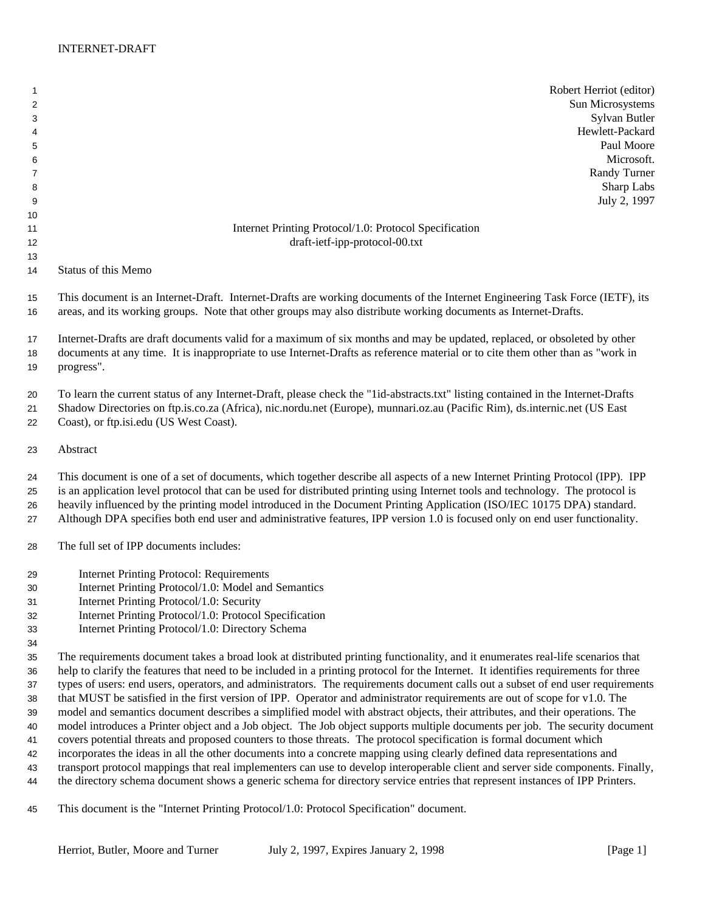Robert Herriot (editor) 2 Sun Microsystems Sylvan Butler Hewlett-Packard Paul Moore Microsoft. Randy Turner 8 Sharp Labs July 2, 1997 **Internet Printing Protocol**/1.0: Protocol Specification draft-ietf-ipp-protocol-00.txt Status of this Memo This document is an Internet-Draft. Internet-Drafts are working documents of the Internet Engineering Task Force (IETF), its areas, and its working groups. Note that other groups may also distribute working documents as Internet-Drafts. Internet-Drafts are draft documents valid for a maximum of six months and may be updated, replaced, or obsoleted by other documents at any time. It is inappropriate to use Internet-Drafts as reference material or to cite them other than as "work in progress". To learn the current status of any Internet-Draft, please check the "1id-abstracts.txt" listing contained in the Internet-Drafts Shadow Directories on ftp.is.co.za (Africa), nic.nordu.net (Europe), munnari.oz.au (Pacific Rim), ds.internic.net (US East Coast), or ftp.isi.edu (US West Coast). Abstract This document is one of a set of documents, which together describe all aspects of a new Internet Printing Protocol (IPP). IPP is an application level protocol that can be used for distributed printing using Internet tools and technology. The protocol is heavily influenced by the printing model introduced in the Document Printing Application (ISO/IEC 10175 DPA) standard. Although DPA specifies both end user and administrative features, IPP version 1.0 is focused only on end user functionality. The full set of IPP documents includes: Internet Printing Protocol: Requirements Internet Printing Protocol/1.0: Model and Semantics Internet Printing Protocol/1.0: Security Internet Printing Protocol/1.0: Protocol Specification Internet Printing Protocol/1.0: Directory Schema The requirements document takes a broad look at distributed printing functionality, and it enumerates real-life scenarios that help to clarify the features that need to be included in a printing protocol for the Internet. It identifies requirements for three types of users: end users, operators, and administrators. The requirements document calls out a subset of end user requirements that MUST be satisfied in the first version of IPP. Operator and administrator requirements are out of scope for v1.0. The model and semantics document describes a simplified model with abstract objects, their attributes, and their operations. The model introduces a Printer object and a Job object. The Job object supports multiple documents per job. The security document covers potential threats and proposed counters to those threats. The protocol specification is formal document which incorporates the ideas in all the other documents into a concrete mapping using clearly defined data representations and transport protocol mappings that real implementers can use to develop interoperable client and server side components. Finally, the directory schema document shows a generic schema for directory service entries that represent instances of IPP Printers.

This document is the "Internet Printing Protocol/1.0: Protocol Specification" document.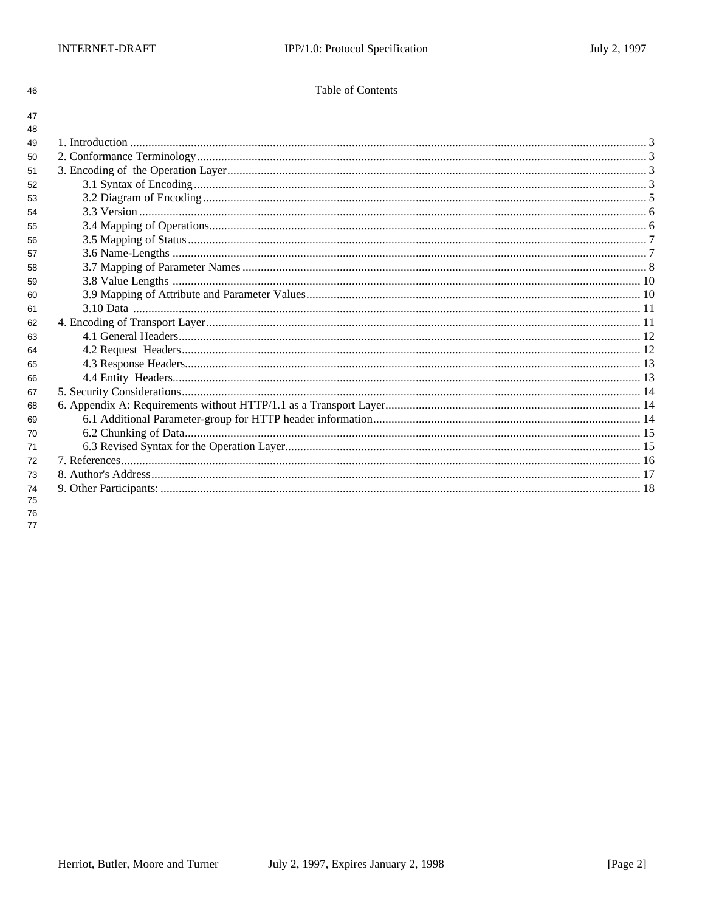46

47

## Table of Contents

| 48 |  |
|----|--|
| 49 |  |
| 50 |  |
| 51 |  |
| 52 |  |
| 53 |  |
| 54 |  |
| 55 |  |
| 56 |  |
| 57 |  |
| 58 |  |
| 59 |  |
| 60 |  |
| 61 |  |
| 62 |  |
| 63 |  |
| 64 |  |
| 65 |  |
| 66 |  |
| 67 |  |
| 68 |  |
| 69 |  |
| 70 |  |
| 71 |  |
| 72 |  |
| 73 |  |
| 74 |  |
| 75 |  |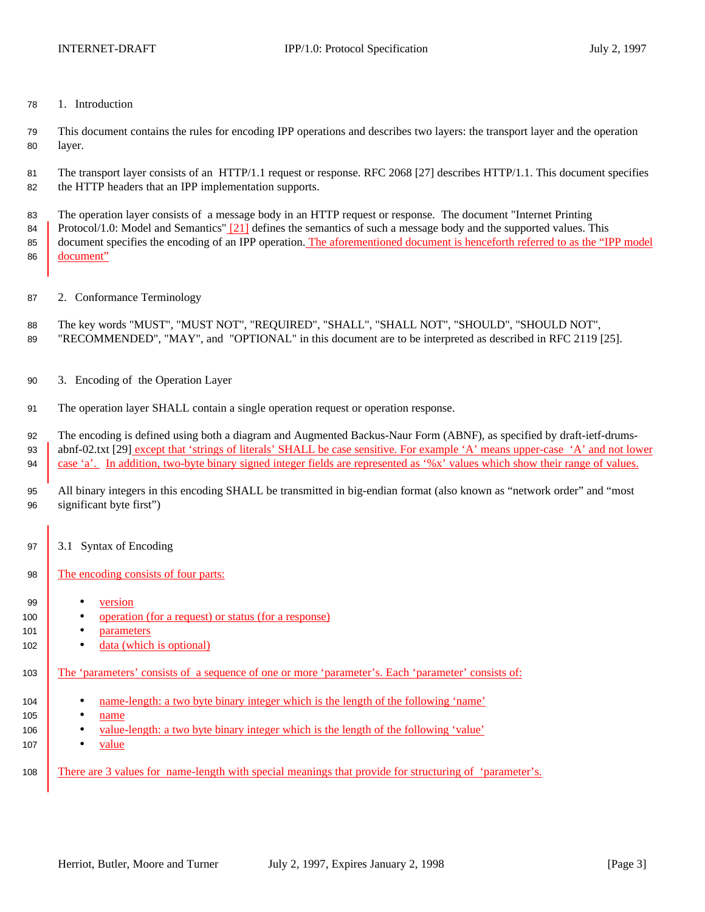1. Introduction

 This document contains the rules for encoding IPP operations and describes two layers: the transport layer and the operation layer.

 The transport layer consists of an HTTP/1.1 request or response. RFC 2068 [27] describes HTTP/1.1. This document specifies the HTTP headers that an IPP implementation supports.

 The operation layer consists of a message body in an HTTP request or response. The document "Internet Printing 84 Protocol/1.0: Model and Semantics" [21] defines the semantics of such a message body and the supported values. This document specifies the encoding of an IPP operation. The aforementioned document is henceforth referred to as the "IPP model document"

- 2. Conformance Terminology
- The key words "MUST", "MUST NOT", "REQUIRED", "SHALL", "SHALL NOT", "SHOULD", "SHOULD NOT", "RECOMMENDED", "MAY", and "OPTIONAL" in this document are to be interpreted as described in RFC 2119 [25].
- 3. Encoding of the Operation Layer
- The operation layer SHALL contain a single operation request or operation response.

The encoding is defined using both a diagram and Augmented Backus-Naur Form (ABNF), as specified by draft-ietf-drums-

93 abnf-02.txt [29] except that 'strings of literals' SHALL be case sensitive. For example 'A' means upper-case 'A' and not lower case 'a'. In addition, two-byte binary signed integer fields are represented as '%x' values which show their range of values.

- All binary integers in this encoding SHALL be transmitted in big-endian format (also known as "network order" and "most significant byte first")
- 97 3.1 Syntax of Encoding
- 98 The encoding consists of four parts:
- version
- 100 operation (for a request) or status (for a response)
- 101 parameters
- 102 · data (which is optional)
- The 'parameters' consists of a sequence of one or more 'parameter's. Each 'parameter' consists of:
- name-length: a two byte binary integer which is the length of the following 'name'
- **•** name
- value-length: a two byte binary integer which is the length of the following 'value'
- value
- There are 3 values for name-length with special meanings that provide for structuring of 'parameter's.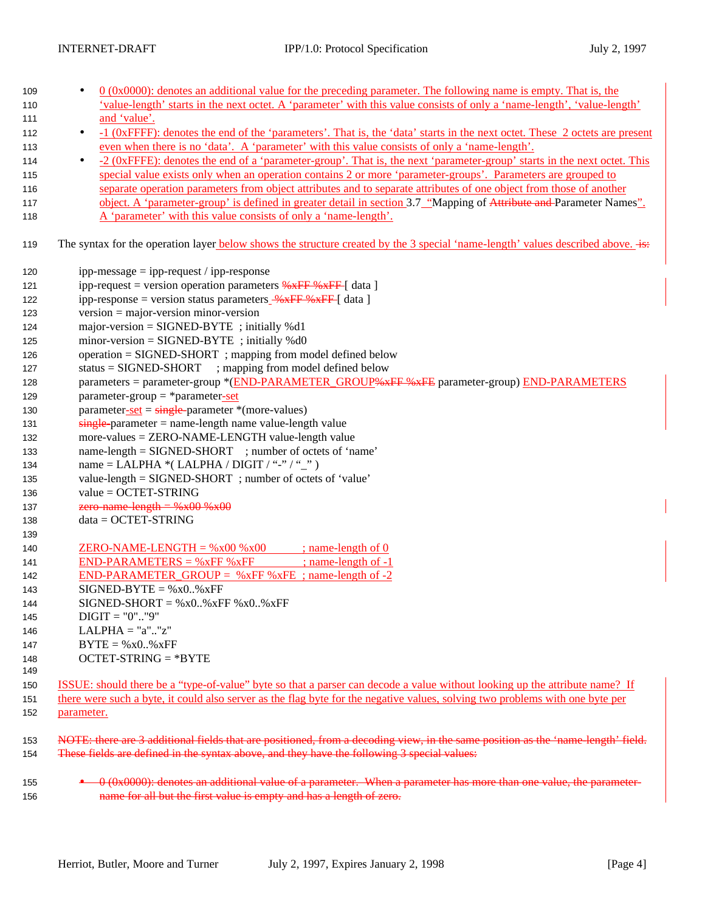| 109 | $0$ (0x0000): denotes an additional value for the preceding parameter. The following name is empty. That is, the<br>٠                   |  |  |  |  |
|-----|-----------------------------------------------------------------------------------------------------------------------------------------|--|--|--|--|
| 110 | 'value-length' starts in the next octet. A 'parameter' with this value consists of only a 'name-length', 'value-length'                 |  |  |  |  |
| 111 | and 'value'.                                                                                                                            |  |  |  |  |
| 112 | -1 (0xFFFF): denotes the end of the 'parameters'. That is, the 'data' starts in the next octet. These 2 octets are present<br>$\bullet$ |  |  |  |  |
| 113 | even when there is no 'data'. A 'parameter' with this value consists of only a 'name-length'.                                           |  |  |  |  |
| 114 | -2 (0xFFFE): denotes the end of a 'parameter-group'. That is, the next 'parameter-group' starts in the next octet. This<br>$\bullet$    |  |  |  |  |
| 115 | special value exists only when an operation contains 2 or more 'parameter-groups'. Parameters are grouped to                            |  |  |  |  |
| 116 | separate operation parameters from object attributes and to separate attributes of one object from those of another                     |  |  |  |  |
| 117 | object. A 'parameter-group' is defined in greater detail in section 3.7 "Mapping of Attribute and Parameter Names".                     |  |  |  |  |
| 118 | A 'parameter' with this value consists of only a 'name-length'.                                                                         |  |  |  |  |
| 119 | The syntax for the operation layer below shows the structure created by the 3 special 'name-length' values described above.             |  |  |  |  |
| 120 | ipp-message $=$ ipp-request / ipp-response                                                                                              |  |  |  |  |
| 121 | ipp-request = version operation parameters $\frac{1}{2}K$ FF $\frac{1}{2}K$ [ data ]                                                    |  |  |  |  |
| 122 | ipp-response = version status parameters $\frac{96 \times FF}{100 \times F}$ (data)                                                     |  |  |  |  |
| 123 | $version = major-version minor-version$                                                                                                 |  |  |  |  |
| 124 | $major-version = SIGNED-BYTE$ ; initially %d1                                                                                           |  |  |  |  |
| 125 | $minor-version = SIGNED-BYTE$ ; initially %d0                                                                                           |  |  |  |  |
| 126 | operation = SIGNED-SHORT; mapping from model defined below                                                                              |  |  |  |  |
| 127 | $status = SIGNED-SHORT$ ; mapping from model defined below                                                                              |  |  |  |  |
| 128 | parameters = parameter-group *(END-PARAMETER_GROUP <del>%xFF %xFE</del> parameter-group) END-PARAMETERS                                 |  |  |  |  |
| 129 | $parameter-group = *parameter-set$                                                                                                      |  |  |  |  |
| 130 | $parameter-set = single-parameter * (more-values)$                                                                                      |  |  |  |  |
| 131 | $\frac{single\text{-}parameter = name\text{-}length name value\text{-}length value$                                                     |  |  |  |  |
| 132 | more-values = ZERO-NAME-LENGTH value-length value                                                                                       |  |  |  |  |
| 133 | name-length = SIGNED-SHORT ; number of octets of 'name'                                                                                 |  |  |  |  |
| 134 | name = LALPHA $*($ LALPHA / DIGIT / "-" / "_")                                                                                          |  |  |  |  |
| 135 | value-length = SIGNED-SHORT; number of octets of 'value'                                                                                |  |  |  |  |
| 136 | $value = OCTET-STRING$                                                                                                                  |  |  |  |  |
| 137 | zero name length = $%x00$ % $x00$                                                                                                       |  |  |  |  |
| 138 | $data = OCTET-STRING$                                                                                                                   |  |  |  |  |
| 139 |                                                                                                                                         |  |  |  |  |
| 140 | $ZERO-NAME-LENGTH = %x00 %x00$<br>$\therefore$ name-length of 0                                                                         |  |  |  |  |
| 141 | $END-PARAMETERS = %xFF %xFF$<br>; name-length of -1                                                                                     |  |  |  |  |
| 142 | END-PARAMETER_GROUP = $%xFF$ % $xFE$ ; name-length of -2                                                                                |  |  |  |  |
| 143 | $SIGNED-BYTE = %x0*xFF$                                                                                                                 |  |  |  |  |
| 144 | $SIGNED-SHORT = %x0. %xFF %x0. %xFF$                                                                                                    |  |  |  |  |
| 145 | $DIGIT = "0". "9"$                                                                                                                      |  |  |  |  |
| 146 | $LALPHA = "a""z"$                                                                                                                       |  |  |  |  |
| 147 | $BYTE = %x0.$ % $xFF$                                                                                                                   |  |  |  |  |
| 148 | $OCTET-STRING = *BYTE$                                                                                                                  |  |  |  |  |
| 149 |                                                                                                                                         |  |  |  |  |
| 150 | ISSUE: should there be a "type-of-value" byte so that a parser can decode a value without looking up the attribute name? If             |  |  |  |  |
| 151 | there were such a byte, it could also server as the flag byte for the negative values, solving two problems with one byte per           |  |  |  |  |
| 152 | parameter.                                                                                                                              |  |  |  |  |
| 153 | NOTE: there are 3 additional fields that are positioned, from a decoding view, in the same position as the 'name length' field.         |  |  |  |  |
| 154 | These fields are defined in the syntax above, and they have the following 3 special values:                                             |  |  |  |  |
| 155 | 0 (0x0000): denotes an additional value of a parameter. When a parameter has more than one value, the parameter-                        |  |  |  |  |

156 **name for all but the first value is empty and has a length of zero.**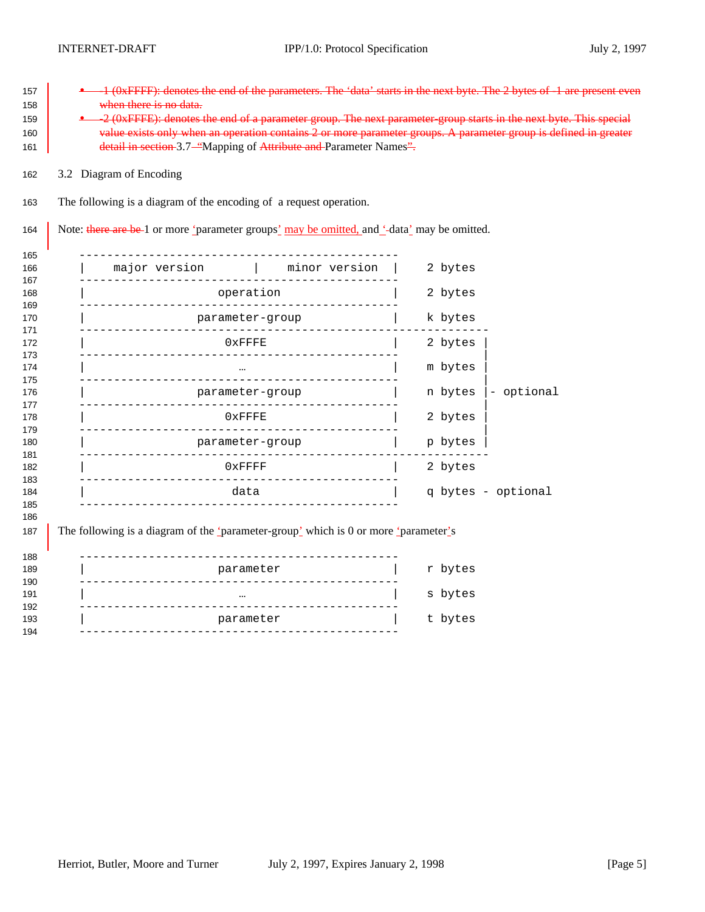| The following is a diagram of the encoding of a request operation.<br>Note: there are be-1 or more 'parameter groups' may be omitted, and '-data' may be omitted.<br>$\begin{tabular}{l c c c c c} \hline major version & & minor version & \hline \end{tabular}$<br>operation<br>parameter-group<br>$0 \times$ FFFE<br>parameter-group | --------------------- | 2 bytes<br>2 bytes<br>k bytes<br>2 bytes<br>m bytes<br>n bytes<br>- optional |  |  |
|-----------------------------------------------------------------------------------------------------------------------------------------------------------------------------------------------------------------------------------------------------------------------------------------------------------------------------------------|-----------------------|------------------------------------------------------------------------------|--|--|
|                                                                                                                                                                                                                                                                                                                                         |                       |                                                                              |  |  |
|                                                                                                                                                                                                                                                                                                                                         |                       |                                                                              |  |  |
|                                                                                                                                                                                                                                                                                                                                         |                       |                                                                              |  |  |
|                                                                                                                                                                                                                                                                                                                                         |                       |                                                                              |  |  |
|                                                                                                                                                                                                                                                                                                                                         |                       |                                                                              |  |  |
|                                                                                                                                                                                                                                                                                                                                         |                       |                                                                              |  |  |
|                                                                                                                                                                                                                                                                                                                                         |                       |                                                                              |  |  |
|                                                                                                                                                                                                                                                                                                                                         |                       |                                                                              |  |  |
|                                                                                                                                                                                                                                                                                                                                         |                       |                                                                              |  |  |
|                                                                                                                                                                                                                                                                                                                                         |                       |                                                                              |  |  |
|                                                                                                                                                                                                                                                                                                                                         | $0 \times$ FFFE       | 2 bytes                                                                      |  |  |
|                                                                                                                                                                                                                                                                                                                                         |                       | p bytes                                                                      |  |  |
|                                                                                                                                                                                                                                                                                                                                         | parameter-group       |                                                                              |  |  |
|                                                                                                                                                                                                                                                                                                                                         | $0x$ FFFF             |                                                                              |  |  |
|                                                                                                                                                                                                                                                                                                                                         | data                  |                                                                              |  |  |
|                                                                                                                                                                                                                                                                                                                                         |                       |                                                                              |  |  |
| The following is a diagram of the 'parameter-group' which is 0 or more 'parameter's                                                                                                                                                                                                                                                     |                       |                                                                              |  |  |
|                                                                                                                                                                                                                                                                                                                                         |                       |                                                                              |  |  |
|                                                                                                                                                                                                                                                                                                                                         |                       | r bytes                                                                      |  |  |
|                                                                                                                                                                                                                                                                                                                                         |                       |                                                                              |  |  |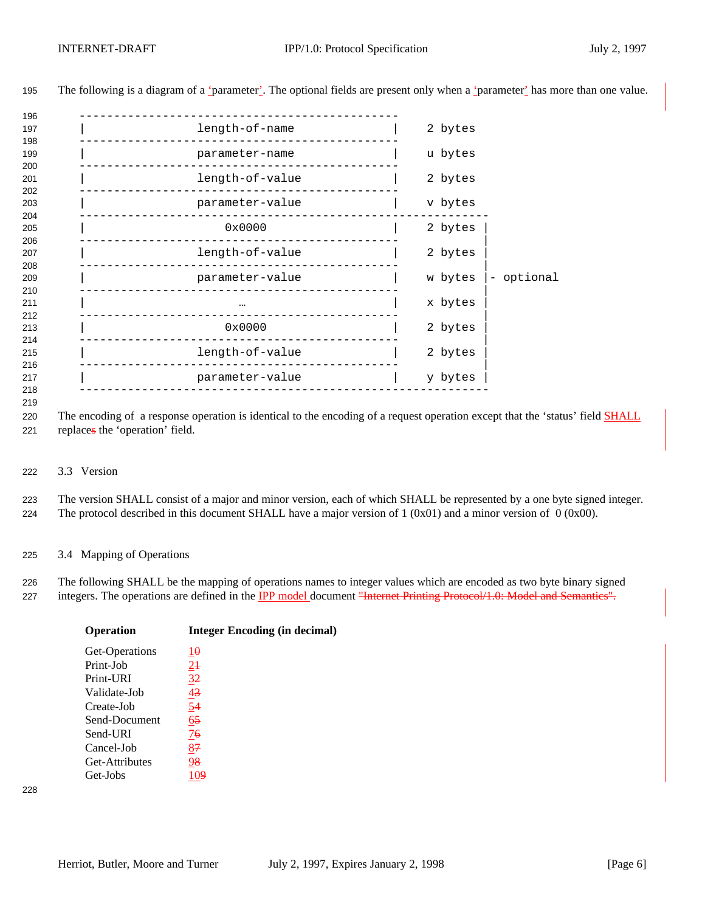| 196               |                 |                       |
|-------------------|-----------------|-----------------------|
| 197               | length-of-name  | 2 bytes               |
| 198               |                 |                       |
| 199<br>200        | parameter-name  | u bytes               |
| 201               | length-of-value | 2 bytes               |
| 202<br>203        | parameter-value | v bytes               |
| 204<br>205<br>206 | 0x0000          | 2 bytes               |
| 207               | length-of-value | 2 bytes               |
| 208<br>209<br>210 | parameter-value | - optional<br>w bytes |
| 211<br>212        | $\cdots$        | x bytes               |
| 213               | 0x0000          | 2 bytes               |
| 214<br>215        | length-of-value | 2 bytes               |
| 216<br>217        | parameter-value | y bytes               |
| 218               |                 |                       |

The following is a diagram of a 'parameter'. The optional fields are present only when a 'parameter' has more than one value.

 The encoding of a response operation is identical to the encoding of a request operation except that the 'status' field SHALL replaces the 'operation' field.

3.3 Version

 The version SHALL consist of a major and minor version, each of which SHALL be represented by a one byte signed integer. 224 The protocol described in this document SHALL have a major version of 1 (0x01) and a minor version of 0 (0x00).

3.4 Mapping of Operations

 The following SHALL be the mapping of operations names to integer values which are encoded as two byte binary signed 227 integers. The operations are defined in the IPP model document "Internet Printing Protocol/1.0: Model and Semantics".

| <b>Operation</b> | <b>Integer Encoding (in decimal)</b> |  |  |
|------------------|--------------------------------------|--|--|
| Get-Operations   | $1\theta$                            |  |  |
| Print-Job        | $2+$                                 |  |  |
| Print-URI        | 3 <sup>2</sup>                       |  |  |
| Validate-Job     | $\frac{43}{5}$                       |  |  |
| Create-Job       | $\overline{54}$                      |  |  |
| Send-Document    | $\underline{65}$                     |  |  |
| Send-URI         | 76                                   |  |  |
| Cancel-Job       | 87                                   |  |  |
| Get-Attributes   | 98                                   |  |  |
| Get-Jobs         | 109                                  |  |  |
|                  |                                      |  |  |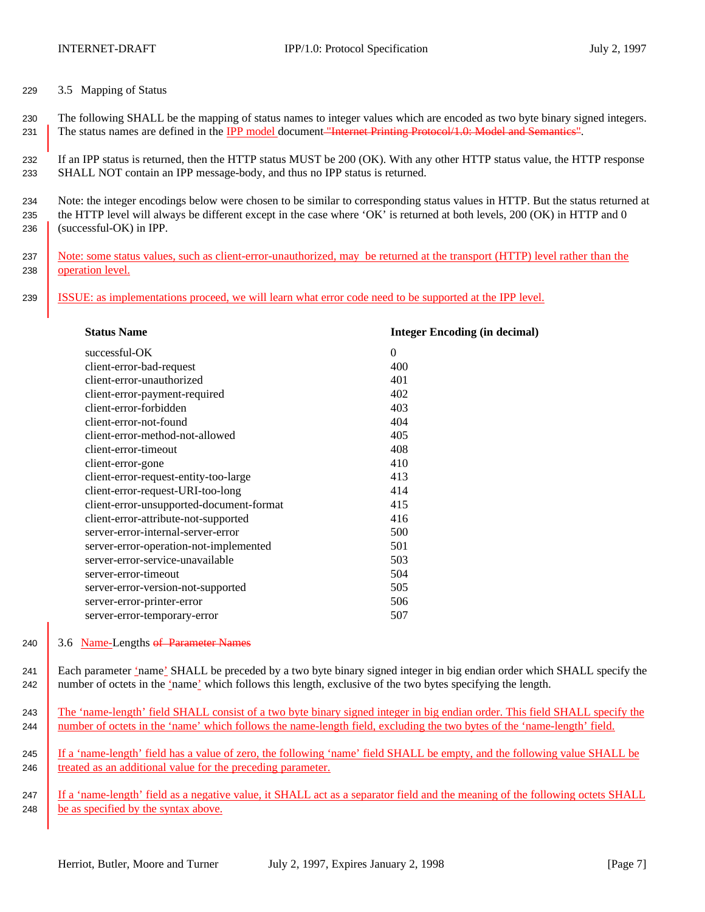- 229 3.5 Mapping of Status
- 230 The following SHALL be the mapping of status names to integer values which are encoded as two byte binary signed integers. 231 The status names are defined in the IPP model document "Internet Printing Protocol/1.0: Model and Semantics".

232 If an IPP status is returned, then the HTTP status MUST be 200 (OK). With any other HTTP status value, the HTTP response 233 SHALL NOT contain an IPP message-body, and thus no IPP status is returned.

234 Note: the integer encodings below were chosen to be similar to corresponding status values in HTTP. But the status returned at 235 the HTTP level will always be different except in the case where 'OK' is returned at both levels, 200 (OK) in HTTP and 0 236 (successful-OK) in IPP.

- 237 Note: some status values, such as client-error-unauthorized, may be returned at the transport (HTTP) level rather than the 238 operation level.
- 239 ISSUE: as implementations proceed, we will learn what error code need to be supported at the IPP level.

| <b>Status Name</b>                       | <b>Integer Encoding (in decimal)</b> |
|------------------------------------------|--------------------------------------|
| successful-OK                            | $\Omega$                             |
| client-error-bad-request                 | 400                                  |
| client-error-unauthorized                | 401                                  |
| client-error-payment-required            | 402                                  |
| client-error-forbidden                   | 403                                  |
| client-error-not-found                   | 404                                  |
| client-error-method-not-allowed          | 405                                  |
| client-error-timeout                     | 408                                  |
| client-error-gone                        | 410                                  |
| client-error-request-entity-too-large    | 413                                  |
| client-error-request-URI-too-long        | 414                                  |
| client-error-unsupported-document-format | 415                                  |
| client-error-attribute-not-supported     | 416                                  |
| server-error-internal-server-error       | 500                                  |
| server-error-operation-not-implemented   | 501                                  |
| server-error-service-unavailable         | 503                                  |
| server-error-timeout                     | 504                                  |
| server-error-version-not-supported       | 505                                  |
| server-error-printer-error               | 506                                  |
| server-error-temporary-error             | 507                                  |
|                                          |                                      |

## 240 3.6 Name-Lengths of Parameter Names

241 Each parameter 'name' SHALL be preceded by a two byte binary signed integer in big endian order which SHALL specify the 242 number of octets in the 'name' which follows this length, exclusive of the two bytes specifying the length.

243 The 'name-length' field SHALL consist of a two byte binary signed integer in big endian order. This field SHALL specify the 244 number of octets in the 'name' which follows the name-length field, excluding the two bytes of the 'name-length' field.

245 If a 'name-length' field has a value of zero, the following 'name' field SHALL be empty, and the following value SHALL be 246 treated as an additional value for the preceding parameter.

247 If a 'name-length' field as a negative value, it SHALL act as a separator field and the meaning of the following octets SHALL 248 be as specified by the syntax above.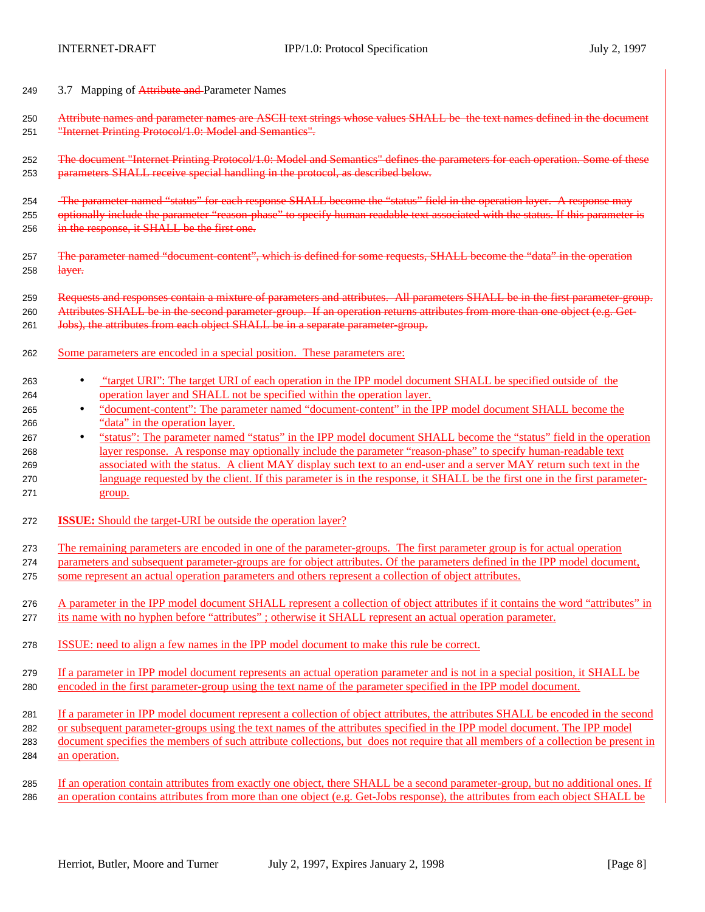- 249 3.7 Mapping of Attribute and Parameter Names
- 250 Attribute names and parameter names are ASCII text strings whose values SHALL be the text names defined in the document "Internet Printing Protocol/1.0: Model and Semantics".
- The document "Internet Printing Protocol/1.0: Model and Semantics" defines the parameters for each operation. Some of these parameters SHALL receive special handling in the protocol, as described below.
- The parameter named "status" for each response SHALL become the "status" field in the operation layer. A response may 255 optionally include the parameter "reason-phase" to specify human readable text associated with the status. If this parameter is 256 in the response, it SHALL be the first one.
- 257 The parameter named "document-content", which is defined for some requests, SHALL become the "data" in the operation  $\frac{1}{258}$
- Requests and responses contain a mixture of parameters and attributes. All parameters SHALL be in the first parameter-group. 260 Attributes SHALL be in the second parameter-group. If an operation returns attributes from more than one object (e.g. Get-261 Jobs), the attributes from each object SHALL be in a separate parameter-group.
- Some parameters are encoded in a special position. These parameters are:
- "target URI": The target URI of each operation in the IPP model document SHALL be specified outside of the operation layer and SHALL not be specified within the operation layer.
- "document-content": The parameter named "document-content" in the IPP model document SHALL become the "data" in the operation layer.
- 267 "status": The parameter named "status" in the IPP model document SHALL become the "status" field in the operation layer response. A response may optionally include the parameter "reason-phase" to specify human-readable text 269 associated with the status. A client MAY display such text to an end-user and a server MAY return such text in the language requested by the client. If this parameter is in the response, it SHALL be the first one in the first parameter-group.
- **ISSUE:** Should the target-URI be outside the operation layer?
- The remaining parameters are encoded in one of the parameter-groups. The first parameter group is for actual operation
- parameters and subsequent parameter-groups are for object attributes. Of the parameters defined in the IPP model document, some represent an actual operation parameters and others represent a collection of object attributes.
- A parameter in the IPP model document SHALL represent a collection of object attributes if it contains the word "attributes" in its name with no hyphen before "attributes" ; otherwise it SHALL represent an actual operation parameter.
- ISSUE: need to align a few names in the IPP model document to make this rule be correct.
- If a parameter in IPP model document represents an actual operation parameter and is not in a special position, it SHALL be encoded in the first parameter-group using the text name of the parameter specified in the IPP model document.
- If a parameter in IPP model document represent a collection of object attributes, the attributes SHALL be encoded in the second or subsequent parameter-groups using the text names of the attributes specified in the IPP model document. The IPP model document specifies the members of such attribute collections, but does not require that all members of a collection be present in
- an operation.
- If an operation contain attributes from exactly one object, there SHALL be a second parameter-group, but no additional ones. If an operation contains attributes from more than one object (e.g. Get-Jobs response), the attributes from each object SHALL be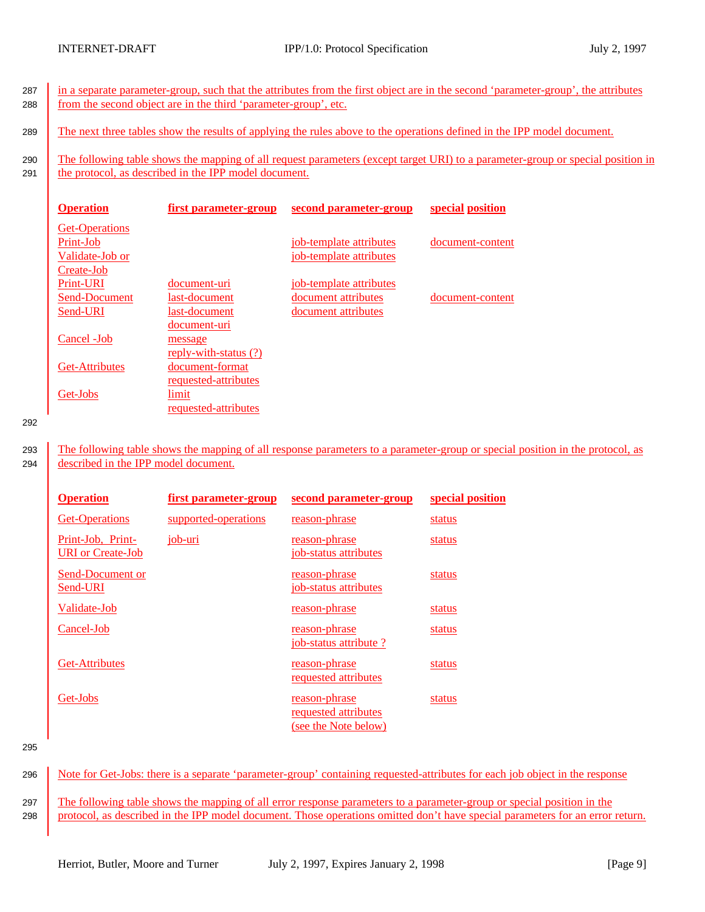287 in a separate parameter-group, such that the attributes from the first object are in the second 'parameter-group', the attributes 288 from the second object are in the third 'parameter-group', etc.

289 The next three tables show the results of applying the rules above to the operations defined in the IPP model document.

290 The following table shows the mapping of all request parameters (except target URI) to a parameter-group or special position in 291 the protocol, as described in the IPP model document.

| <b>Operation</b>      | first parameter-group       | second parameter-group  | special position |
|-----------------------|-----------------------------|-------------------------|------------------|
| <b>Get-Operations</b> |                             |                         |                  |
| Print-Job             |                             | job-template attributes | document-content |
| Validate-Job or       |                             | job-template attributes |                  |
| Create-Job            |                             |                         |                  |
| <b>Print-URI</b>      | document-uri                | job-template attributes |                  |
| Send-Document         | last-document               | document attributes     | document-content |
| Send-URI              | last-document               | document attributes     |                  |
|                       | document-uri                |                         |                  |
| Cancel - Job          | message                     |                         |                  |
|                       | reply-with-status (?)       |                         |                  |
| <b>Get-Attributes</b> | document-format             |                         |                  |
|                       | <u>requested-attributes</u> |                         |                  |
| Get-Jobs              | limit                       |                         |                  |
|                       | requested-attributes        |                         |                  |

292

293 The following table shows the mapping of all response parameters to a parameter-group or special position in the protocol, as 294 described in the IPP model document.

| <b>Operation</b>                              | first parameter-group | second parameter-group                                        | special position |
|-----------------------------------------------|-----------------------|---------------------------------------------------------------|------------------|
| <b>Get-Operations</b>                         | supported-operations  | reason-phrase                                                 | status           |
| Print-Job, Print-<br><b>URI</b> or Create-Job | job-uri               | reason-phrase<br>job-status attributes                        | status           |
| Send-Document or<br>Send-URI                  |                       | reason-phrase<br>job-status attributes                        | status           |
| Validate-Job                                  |                       | reason-phrase                                                 | status           |
| Cancel-Job                                    |                       | reason-phrase<br><u>job-status attribute ?</u>                | status           |
| <b>Get-Attributes</b>                         |                       | reason-phrase<br>requested attributes                         | status           |
| Get-Jobs                                      |                       | reason-phrase<br>requested attributes<br>(see the Note below) | status           |

295

296 Note for Get-Jobs: there is a separate 'parameter-group' containing requested-attributes for each job object in the response

297 The following table shows the mapping of all error response parameters to a parameter-group or special position in the 298 protocol, as described in the IPP model document. Those operations omitted don't have special parameters for an error return.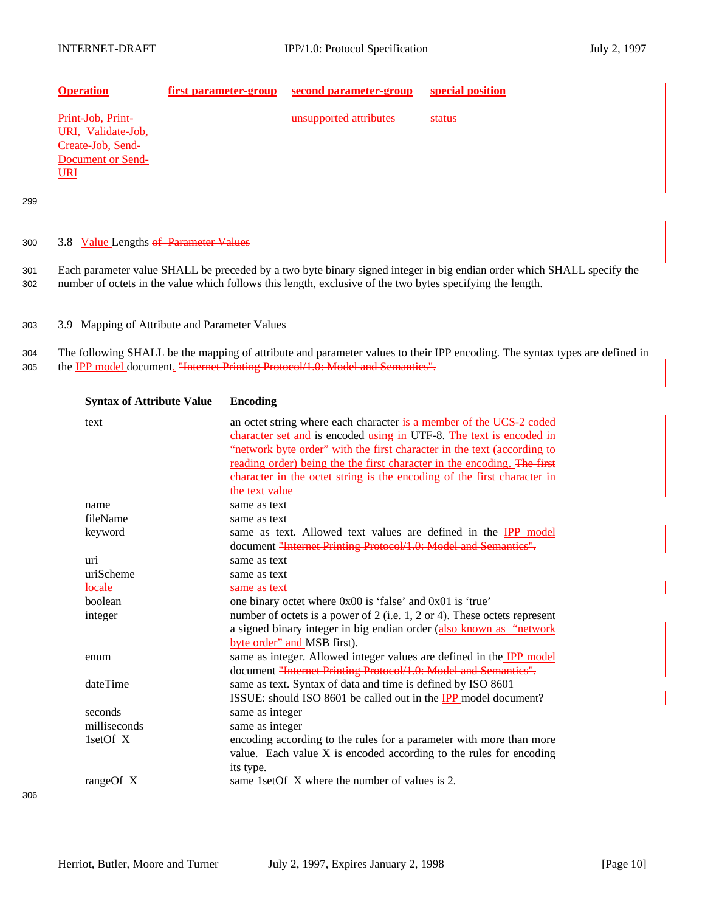unsupported attributes status

| <b>Operation</b> |  | <b>first parameter-group</b> second parameter-group special position |  |
|------------------|--|----------------------------------------------------------------------|--|
|------------------|--|----------------------------------------------------------------------|--|

Print-Job, Print-URI, Validate-Job, Create-Job, Send-Document or Send-URI

299

## 300 3.8 Value Lengths of Parameter Values

301 Each parameter value SHALL be preceded by a two byte binary signed integer in big endian order which SHALL specify the 302 number of octets in the value which follows this length, exclusive of the two bytes specifying the length.

303 3.9 Mapping of Attribute and Parameter Values

304 The following SHALL be the mapping of attribute and parameter values to their IPP encoding. The syntax types are defined in 305 the **IPP** model document. "Internet Printing Protocol/1.0: Model and Semantics".

| <b>Syntax of Attribute Value</b> | <b>Encoding</b>                                                               |
|----------------------------------|-------------------------------------------------------------------------------|
| text                             | an octet string where each character is a member of the UCS-2 coded           |
|                                  | character set and is encoded using in-UTF-8. The text is encoded in           |
|                                  | "network byte order" with the first character in the text (according to       |
|                                  | reading order) being the the first character in the encoding. The first       |
|                                  | character in the octet string is the encoding of the first character in       |
|                                  | the text value                                                                |
| name                             | same as text                                                                  |
| fileName                         | same as text                                                                  |
| keyword                          | same as text. Allowed text values are defined in the IPP model                |
|                                  | document "Internet Printing Protocol/1.0: Model and Semanties".               |
| uri                              | same as text                                                                  |
| uriScheme                        | same as text                                                                  |
| locale                           | same as text                                                                  |
| boolean                          | one binary octet where 0x00 is 'false' and 0x01 is 'true'                     |
| integer                          | number of octets is a power of $2$ (i.e. 1, $2$ or 4). These octets represent |
|                                  | a signed binary integer in big endian order (also known as "network           |
|                                  | byte order" and MSB first).                                                   |
| enum                             | same as integer. Allowed integer values are defined in the <b>IPP</b> model   |
|                                  | document "Internet Printing Protocol/1.0: Model and Semanties".               |
| dateTime                         | same as text. Syntax of data and time is defined by ISO 8601                  |
|                                  | ISSUE: should ISO 8601 be called out in the IPP model document?               |
| seconds                          | same as integer                                                               |
| milliseconds                     | same as integer                                                               |
| 1setOf X                         | encoding according to the rules for a parameter with more than more           |
|                                  | value. Each value $X$ is encoded according to the rules for encoding          |
|                                  | its type.                                                                     |
| range Of $X$                     | same 1 set Of X where the number of values is 2.                              |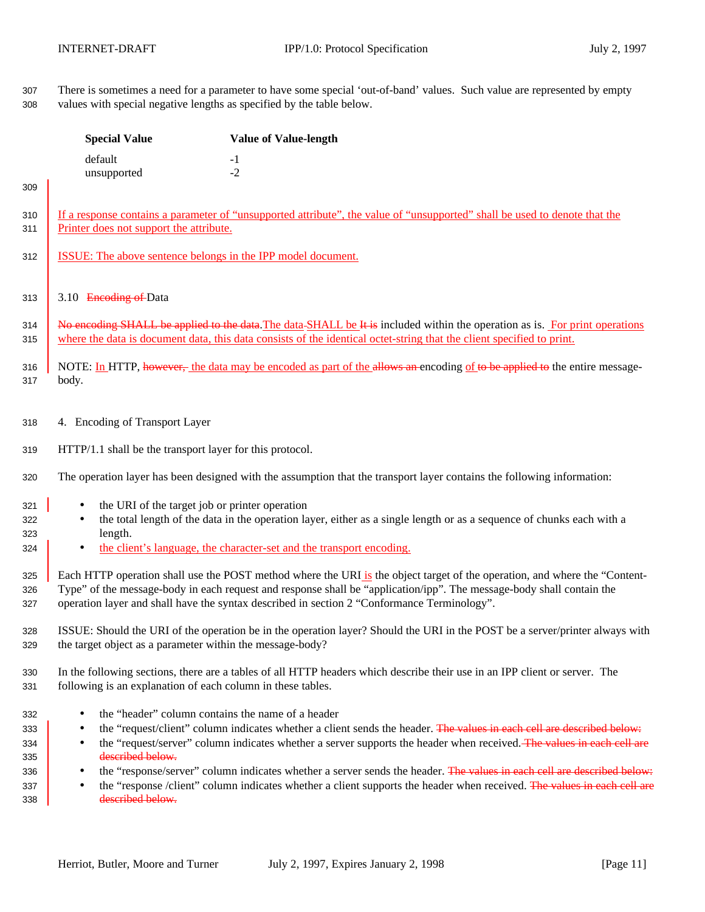There is sometimes a need for a parameter to have some special 'out-of-band' values. Such value are represented by empty values with special negative lengths as specified by the table below.

|                                               | <b>Special Value</b>                                                                                                                                       | <b>Value of Value-length</b>                                                                                                                                                                                                                                                                                                                                                                                                                                                                        |  |  |
|-----------------------------------------------|------------------------------------------------------------------------------------------------------------------------------------------------------------|-----------------------------------------------------------------------------------------------------------------------------------------------------------------------------------------------------------------------------------------------------------------------------------------------------------------------------------------------------------------------------------------------------------------------------------------------------------------------------------------------------|--|--|
|                                               | default<br>unsupported                                                                                                                                     | $-1$<br>$-2$                                                                                                                                                                                                                                                                                                                                                                                                                                                                                        |  |  |
| 309                                           |                                                                                                                                                            |                                                                                                                                                                                                                                                                                                                                                                                                                                                                                                     |  |  |
| 310<br>311                                    | Printer does not support the attribute.                                                                                                                    | If a response contains a parameter of "unsupported attribute", the value of "unsupported" shall be used to denote that the                                                                                                                                                                                                                                                                                                                                                                          |  |  |
| 312                                           | <b>ISSUE:</b> The above sentence belongs in the IPP model document.                                                                                        |                                                                                                                                                                                                                                                                                                                                                                                                                                                                                                     |  |  |
| 313                                           | 3.10 Encoding of Data                                                                                                                                      |                                                                                                                                                                                                                                                                                                                                                                                                                                                                                                     |  |  |
| 314<br>315                                    |                                                                                                                                                            | No encoding SHALL be applied to the data. The data-SHALL be It is included within the operation as is. For print operations<br>where the data is document data, this data consists of the identical octet-string that the client specified to print.                                                                                                                                                                                                                                                |  |  |
| 316<br>317                                    | body.                                                                                                                                                      | NOTE: In HTTP, however, the data may be encoded as part of the allows an encoding of to be applied to the entire message-                                                                                                                                                                                                                                                                                                                                                                           |  |  |
| 318                                           | 4. Encoding of Transport Layer                                                                                                                             |                                                                                                                                                                                                                                                                                                                                                                                                                                                                                                     |  |  |
| 319                                           | HTTP/1.1 shall be the transport layer for this protocol.                                                                                                   |                                                                                                                                                                                                                                                                                                                                                                                                                                                                                                     |  |  |
| 320                                           |                                                                                                                                                            | The operation layer has been designed with the assumption that the transport layer contains the following information:                                                                                                                                                                                                                                                                                                                                                                              |  |  |
| 321<br>322<br>323<br>324                      | the URI of the target job or printer operation<br>$\bullet$<br>length.<br>$\bullet$                                                                        | the total length of the data in the operation layer, either as a single length or as a sequence of chunks each with a<br>the client's language, the character-set and the transport encoding.                                                                                                                                                                                                                                                                                                       |  |  |
| 325<br>326<br>327                             |                                                                                                                                                            | Each HTTP operation shall use the POST method where the URI is the object target of the operation, and where the "Content-<br>Type" of the message-body in each request and response shall be "application/ipp". The message-body shall contain the<br>operation layer and shall have the syntax described in section 2 "Conformance Terminology".                                                                                                                                                  |  |  |
| 328<br>329                                    | the target object as a parameter within the message-body?                                                                                                  | ISSUE: Should the URI of the operation be in the operation layer? Should the URI in the POST be a server/printer always with                                                                                                                                                                                                                                                                                                                                                                        |  |  |
| 330<br>331                                    | following is an explanation of each column in these tables.                                                                                                | In the following sections, there are a tables of all HTTP headers which describe their use in an IPP client or server. The                                                                                                                                                                                                                                                                                                                                                                          |  |  |
| 332<br>333<br>334<br>335<br>336<br>337<br>338 | the "header" column contains the name of a header<br>$\bullet$<br>$\bullet$<br>$\bullet$<br>described below.<br>$\bullet$<br>$\bullet$<br>described below. | the "request/client" column indicates whether a client sends the header. The values in each cell are described below:<br>the "request/server" column indicates whether a server supports the header when received. The values in each cell are<br>the "response/server" column indicates whether a server sends the header. The values in each cell are described below:<br>the "response /client" column indicates whether a client supports the header when received. The values in each cell are |  |  |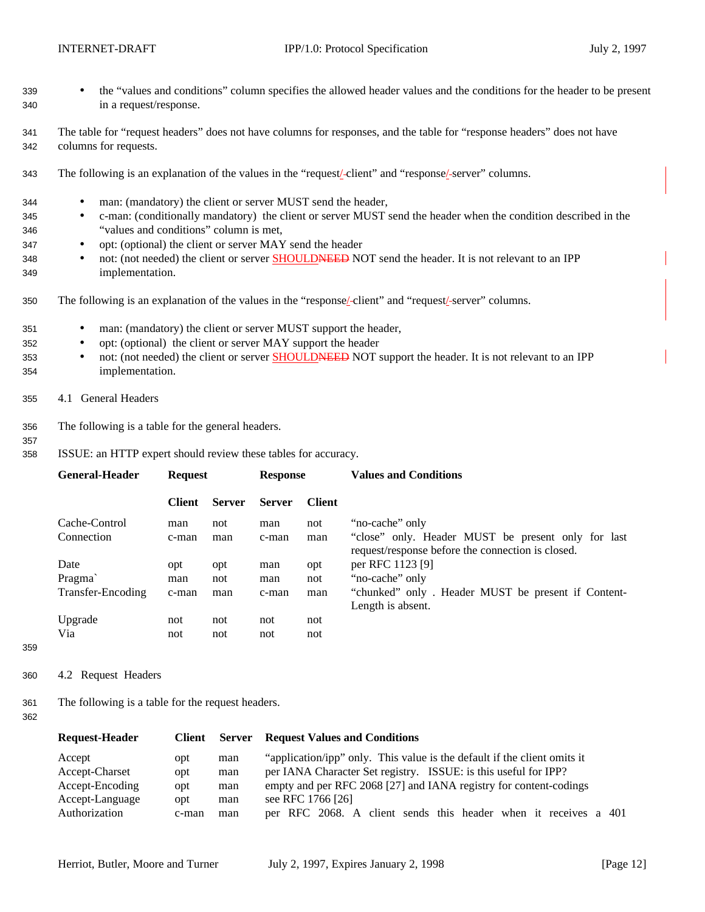- <sup>339</sup> the "values and conditions" column specifies the allowed header values and the conditions for the header to be present 340 in a request/response.
- 341 The table for "request headers" does not have columns for responses, and the table for "response headers" does not have 342 columns for requests.
- 343 The following is an explanation of the values in the "request/ client" and "response/ server" columns.
- 344 man: (mandatory) the client or server MUST send the header,
- 345 c-man: (conditionally mandatory) the client or server MUST send the header when the condition described in the 346 "values and conditions" column is met,
- 347 opt: (optional) the client or server MAY send the header
- 348 not: (not needed) the client or server **SHOULDNEED NOT** send the header. It is not relevant to an IPP 349 implementation.
- 350 The following is an explanation of the values in the "response/ client" and "request/ server" columns.
- 351 man: (mandatory) the client or server MUST support the header,
- 352 opt: (optional) the client or server MAY support the header
- 353 not: (not needed) the client or server SHOULDNEED NOT support the header. It is not relevant to an IPP 354 implementation.
- 355 4.1 General Headers
- 356 The following is a table for the general headers.
- 357
- 358 ISSUE: an HTTP expert should review these tables for accuracy.

|               |               |                |               | <b>Values and Conditions</b>                                                                            |
|---------------|---------------|----------------|---------------|---------------------------------------------------------------------------------------------------------|
| <b>Client</b> | <b>Server</b> | <b>Server</b>  | <b>Client</b> |                                                                                                         |
| man           | not           | man            | not           | "no-cache" only                                                                                         |
| c-man         | man           | c-man          | man           | "close" only. Header MUST be present only for last<br>request/response before the connection is closed. |
| opt           | opt           | man            | opt           | per RFC 1123 [9]                                                                                        |
| man           | not           | man            | not           | "no-cache" only                                                                                         |
| c-man         | man           | c-man          | man           | "chunked" only. Header MUST be present if Content-<br>Length is absent.                                 |
| not           | not           | not            | not           |                                                                                                         |
| not           | not           | not            | not           |                                                                                                         |
|               |               | <b>Request</b> |               | <b>Response</b>                                                                                         |

- 359
- 360 4.2 Request Headers

361 The following is a table for the request headers.

| <b>Request-Header</b> |       |     | <b>Client</b> Server Request Values and Conditions                       |
|-----------------------|-------|-----|--------------------------------------------------------------------------|
| Accept                | opt   | man | "application/ipp" only. This value is the default if the client omits it |
| Accept-Charset        | opt   | man | per IANA Character Set registry. ISSUE: is this useful for IPP?          |
| Accept-Encoding       | opt   | man | empty and per RFC 2068 [27] and IANA registry for content-codings        |
| Accept-Language       | opt   | man | see RFC 1766 [26]                                                        |
| Authorization         | c-man | man | per RFC 2068. A client sends this header when it receives a 401          |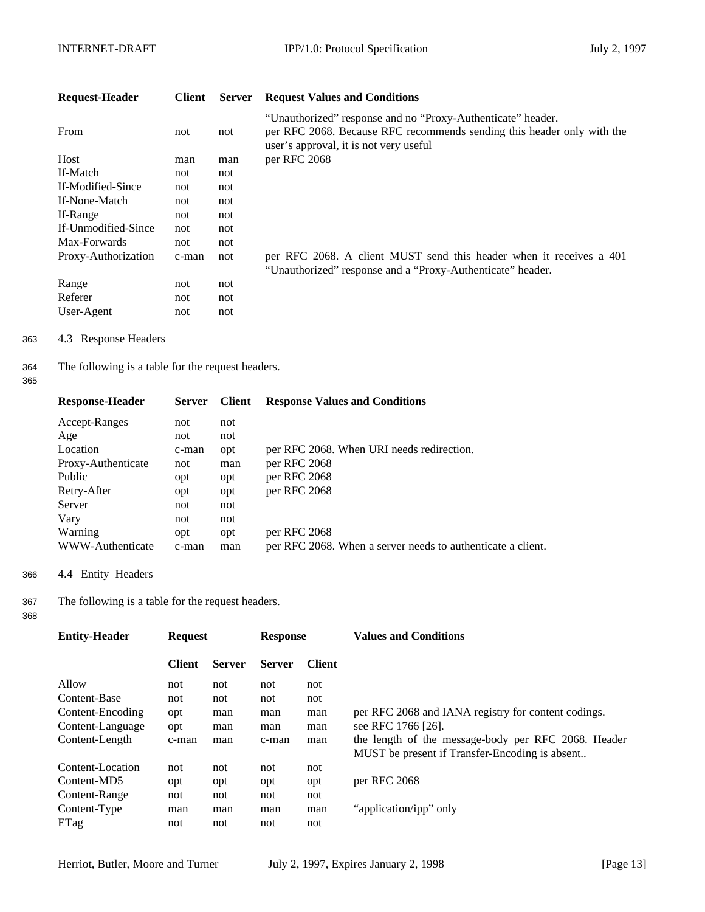| <b>Request-Header</b> | Client | <b>Server</b> | <b>Request Values and Conditions</b>                                                                                                                                            |
|-----------------------|--------|---------------|---------------------------------------------------------------------------------------------------------------------------------------------------------------------------------|
| From                  | not    | not           | "Unauthorized" response and no "Proxy-Authenticate" header.<br>per RFC 2068. Because RFC recommends sending this header only with the<br>user's approval, it is not very useful |
| Host                  | man    | man           | per RFC 2068                                                                                                                                                                    |
| If-Match              | not    | not           |                                                                                                                                                                                 |
| If-Modified-Since     | not    | not           |                                                                                                                                                                                 |
| If-None-Match         | not    | not           |                                                                                                                                                                                 |
| If-Range              | not    | not           |                                                                                                                                                                                 |
| If-Unmodified-Since   | not    | not           |                                                                                                                                                                                 |
| Max-Forwards          | not    | not           |                                                                                                                                                                                 |
| Proxy-Authorization   | c-man  | not           | per RFC 2068. A client MUST send this header when it receives a 401<br>"Unauthorized" response and a "Proxy-Authenticate" header.                                               |
| Range                 | not    | not           |                                                                                                                                                                                 |
| Referer               | not    | not           |                                                                                                                                                                                 |
| User-Agent            | not    | not           |                                                                                                                                                                                 |

363 4.3 Response Headers

364 The following is a table for the request headers.

365

| <b>Response-Header</b> | <b>Server</b> | <b>Client</b> | <b>Response Values and Conditions</b>                       |
|------------------------|---------------|---------------|-------------------------------------------------------------|
| Accept-Ranges          | not           | not           |                                                             |
| Age                    | not           | not           |                                                             |
| Location               | c-man         | opt           | per RFC 2068. When URI needs redirection.                   |
| Proxy-Authenticate     | not           | man           | per RFC 2068                                                |
| Public                 | opt           | opt           | per RFC 2068                                                |
| Retry-After            | opt           | opt           | per RFC 2068                                                |
| Server                 | not           | not           |                                                             |
| Vary                   | not           | not           |                                                             |
| Warning                | opt           | opt           | per RFC 2068                                                |
| WWW-Authenticate       | c-man         | man           | per RFC 2068. When a server needs to authenticate a client. |
|                        |               |               |                                                             |

366 4.4 Entity Headers

367 The following is a table for the request headers.

| <b>Entity-Header</b> | <b>Request</b> |               | <b>Response</b> |               | <b>Values and Conditions</b>                        |
|----------------------|----------------|---------------|-----------------|---------------|-----------------------------------------------------|
|                      | <b>Client</b>  | <b>Server</b> | <b>Server</b>   | <b>Client</b> |                                                     |
| Allow                | not            | not           | not             | not           |                                                     |
| Content-Base         | not            | not           | not             | not           |                                                     |
| Content-Encoding     | opt            | man           | man             | man           | per RFC 2068 and IANA registry for content codings. |
| Content-Language     | opt            | man           | man             | man           | see RFC 1766 [26].                                  |
| Content-Length       | c-man          | man           | c-man           | man           | the length of the message-body per RFC 2068. Header |
|                      |                |               |                 |               | MUST be present if Transfer-Encoding is absent      |
| Content-Location     | not            | not           | not             | not           |                                                     |
| Content-MD5          | opt            | opt           | opt             | opt           | per RFC 2068                                        |
| Content-Range        | not            | not           | not             | not           |                                                     |
| Content-Type         | man            | man           | man             | man           | "application/ipp" only                              |
| ETag                 | not            | not           | not             | not           |                                                     |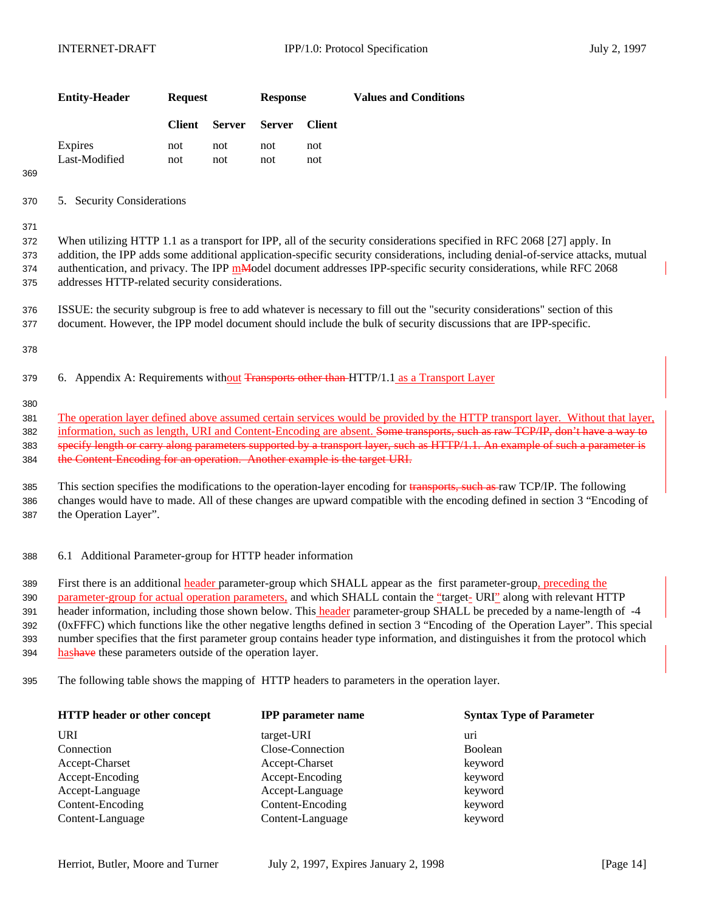| <b>Entity-Header</b> | <b>Request</b> |               | <b>Response</b> |               | <b>Values and Conditions</b> |
|----------------------|----------------|---------------|-----------------|---------------|------------------------------|
|                      | <b>Client</b>  | <b>Server</b> | Server          | <b>Client</b> |                              |
| Expires              | not            | not           | not             | not           |                              |
| Last-Modified        | not            | not.          | not             | not           |                              |

369

370 5. Security Considerations

371

 When utilizing HTTP 1.1 as a transport for IPP, all of the security considerations specified in RFC 2068 [27] apply. In addition, the IPP adds some additional application-specific security considerations, including denial-of-service attacks, mutual 374 authentication, and privacy. The IPP mModel document addresses IPP-specific security considerations, while RFC 2068 addresses HTTP-related security considerations.

376 ISSUE: the security subgroup is free to add whatever is necessary to fill out the "security considerations" section of this 377 document. However, the IPP model document should include the bulk of security discussions that are IPP-specific.

378

379 6. Appendix A: Requirements without Transports other than HTTP/1.1 as a Transport Layer

380

381 The operation layer defined above assumed certain services would be provided by the HTTP transport layer. Without that layer, 382 information, such as length, URI and Content-Encoding are absent. Some transports, such as raw TCP/IP, don't have a way to 383 specify length or carry along parameters supported by a transport layer, such as HTTP/1.1. An example of such a parameter is 384 the Content-Encoding for an operation. Another example is the target URI.

385 This section specifies the modifications to the operation-layer encoding for transports, such as raw TCP/IP. The following 386 changes would have to made. All of these changes are upward compatible with the encoding defined in section 3 "Encoding of 387 the Operation Layer".

388 6.1 Additional Parameter-group for HTTP header information

 First there is an additional header parameter-group which SHALL appear as the first parameter-group, preceding the parameter-group for actual operation parameters, and which SHALL contain the "target- URI" along with relevant HTTP header information, including those shown below. This header parameter-group SHALL be preceded by a name-length of -4 (0xFFFC) which functions like the other negative lengths defined in section 3 "Encoding of the Operation Layer". This special number specifies that the first parameter group contains header type information, and distinguishes it from the protocol which 394 has have these parameters outside of the operation layer.

395 The following table shows the mapping of HTTP headers to parameters in the operation layer.

| HTTP header or other concept | <b>IPP</b> parameter name | <b>Syntax Type of Parameter</b> |
|------------------------------|---------------------------|---------------------------------|
| URI                          | target-URI                | uri                             |
| Connection                   | Close-Connection          | <b>Boolean</b>                  |
| Accept-Charset               | Accept-Charset            | keyword                         |
| Accept-Encoding              | Accept-Encoding           | keyword                         |
| Accept-Language              | Accept-Language           | keyword                         |
| Content-Encoding             | Content-Encoding          | keyword                         |
| Content-Language             | Content-Language          | keyword                         |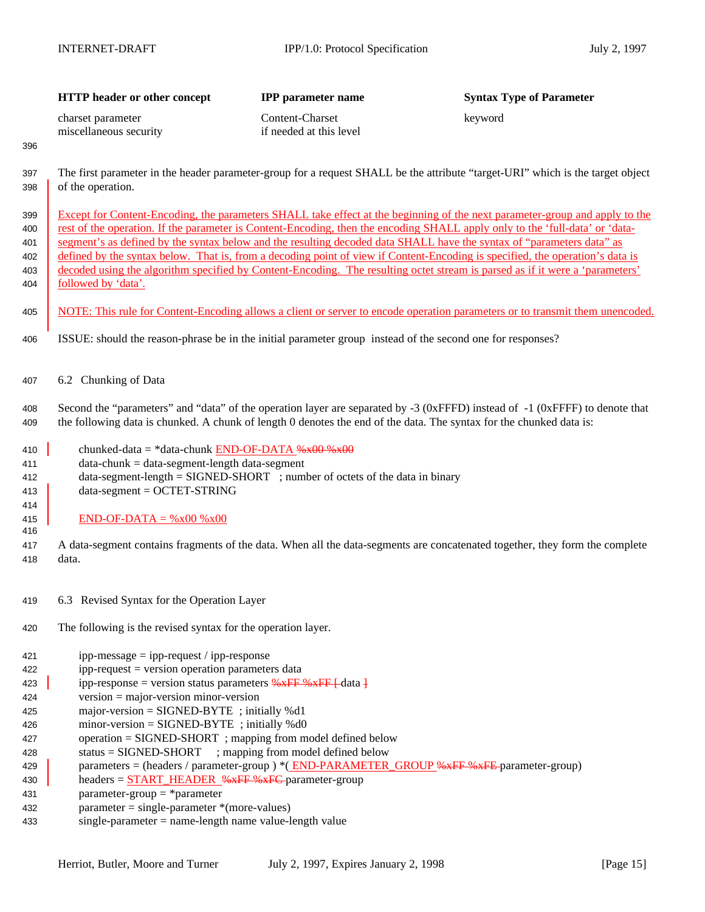|                                        | HTTP header or other concept                                                                                                                                                                                                | <b>IPP</b> parameter name                  | <b>Syntax Type of Parameter</b>                                                                                                                                                                                                                                                                                                                                                                                                                                                                                                                                                                                                                       |
|----------------------------------------|-----------------------------------------------------------------------------------------------------------------------------------------------------------------------------------------------------------------------------|--------------------------------------------|-------------------------------------------------------------------------------------------------------------------------------------------------------------------------------------------------------------------------------------------------------------------------------------------------------------------------------------------------------------------------------------------------------------------------------------------------------------------------------------------------------------------------------------------------------------------------------------------------------------------------------------------------------|
| 396                                    | charset parameter<br>miscellaneous security                                                                                                                                                                                 | Content-Charset<br>if needed at this level | keyword                                                                                                                                                                                                                                                                                                                                                                                                                                                                                                                                                                                                                                               |
| 397<br>398                             | of the operation.                                                                                                                                                                                                           |                                            | The first parameter in the header parameter-group for a request SHALL be the attribute "target-URI" which is the target object                                                                                                                                                                                                                                                                                                                                                                                                                                                                                                                        |
| 399<br>400<br>401<br>402<br>403<br>404 | followed by 'data'.                                                                                                                                                                                                         |                                            | Except for Content-Encoding, the parameters SHALL take effect at the beginning of the next parameter-group and apply to the<br>rest of the operation. If the parameter is Content-Encoding, then the encoding SHALL apply only to the 'full-data' or 'data-<br>segment's as defined by the syntax below and the resulting decoded data SHALL have the syntax of "parameters data" as<br>defined by the syntax below. That is, from a decoding point of view if Content-Encoding is specified, the operation's data is<br>decoded using the algorithm specified by Content-Encoding. The resulting octet stream is parsed as if it were a 'parameters' |
| 405                                    |                                                                                                                                                                                                                             |                                            | NOTE: This rule for Content-Encoding allows a client or server to encode operation parameters or to transmit them unencoded.                                                                                                                                                                                                                                                                                                                                                                                                                                                                                                                          |
| 406                                    | ISSUE: should the reason-phrase be in the initial parameter group instead of the second one for responses?                                                                                                                  |                                            |                                                                                                                                                                                                                                                                                                                                                                                                                                                                                                                                                                                                                                                       |
| 407                                    | 6.2 Chunking of Data                                                                                                                                                                                                        |                                            |                                                                                                                                                                                                                                                                                                                                                                                                                                                                                                                                                                                                                                                       |
| 408<br>409                             |                                                                                                                                                                                                                             |                                            | Second the "parameters" and "data" of the operation layer are separated by -3 (0xFFFD) instead of -1 (0xFFFF) to denote that<br>the following data is chunked. A chunk of length 0 denotes the end of the data. The syntax for the chunked data is:                                                                                                                                                                                                                                                                                                                                                                                                   |
| 410<br>411<br>412<br>413               | chunked-data = *data-chunk $END-OF-DATA$ % $x00$ % $x00$<br>$data-chunk = data-segment-length data-segment$<br>data-segment-length = SIGNED-SHORT ; number of octets of the data in binary<br>$data-segment = OCTET-STRING$ |                                            |                                                                                                                                                                                                                                                                                                                                                                                                                                                                                                                                                                                                                                                       |
| 414<br>415<br>416                      | $END-OF-DATA = %x00 %x00$                                                                                                                                                                                                   |                                            |                                                                                                                                                                                                                                                                                                                                                                                                                                                                                                                                                                                                                                                       |
| 417<br>418                             | data.                                                                                                                                                                                                                       |                                            | A data-segment contains fragments of the data. When all the data-segments are concatenated together, they form the complete                                                                                                                                                                                                                                                                                                                                                                                                                                                                                                                           |
| 419                                    | 6.3 Revised Syntax for the Operation Layer                                                                                                                                                                                  |                                            |                                                                                                                                                                                                                                                                                                                                                                                                                                                                                                                                                                                                                                                       |
| 420                                    | The following is the revised syntax for the operation layer.                                                                                                                                                                |                                            |                                                                                                                                                                                                                                                                                                                                                                                                                                                                                                                                                                                                                                                       |
| 421<br>422<br>423<br>424               | $ipp-message = ipp-request / ipp-response$<br>ipp-request = version operation parameters data<br>ipp-response = version status parameters %xFF %xFF [-data ]<br>$version = major-version minor-version$                     |                                            |                                                                                                                                                                                                                                                                                                                                                                                                                                                                                                                                                                                                                                                       |

429 parameters = (headers / parameter-group ) \* (END-PARAMETER\_GROUP %xFF %xFE parameter-group)

 major-version = SIGNED-BYTE ; initially %d1 minor-version = SIGNED-BYTE ; initially %d0

parameter = single-parameter \*(more-values)

parameter-group = \*parameter

 operation = SIGNED-SHORT ; mapping from model defined below status = SIGNED-SHORT ; mapping from model defined below

430  $\parallel$  headers =  $\frac{START}{HEADER}$ %xFF %xFC parameter-group

single-parameter = name-length name value-length value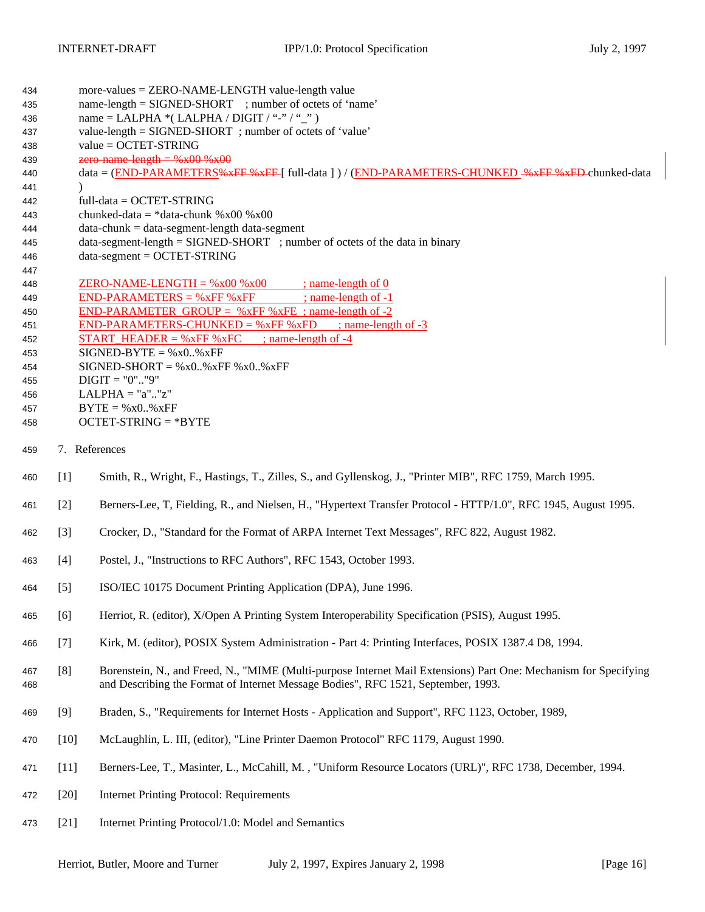| 434        |                   | more-values = ZERO-NAME-LENGTH value-length value                                                                                                                                                     |  |  |  |  |  |
|------------|-------------------|-------------------------------------------------------------------------------------------------------------------------------------------------------------------------------------------------------|--|--|--|--|--|
| 435        |                   | name-length = SIGNED-SHORT ; number of octets of 'name'                                                                                                                                               |  |  |  |  |  |
| 436        |                   | name = LALPHA $*($ LALPHA / DIGIT / "-" / "_")                                                                                                                                                        |  |  |  |  |  |
| 437        |                   | value-length = SIGNED-SHORT; number of octets of 'value'                                                                                                                                              |  |  |  |  |  |
| 438        |                   | value = OCTET-STRING                                                                                                                                                                                  |  |  |  |  |  |
| 439        |                   | zero-name-length = $%x00$ % $x00$                                                                                                                                                                     |  |  |  |  |  |
| 440        | $\lambda$         | data = (END-PARAMETERS%*FF %*FF [ full-data ] ) / (END-PARAMETERS-CHUNKED -%*FF %*FD-chunked-data                                                                                                     |  |  |  |  |  |
| 441        |                   | $full-data = OCTET-STRING$                                                                                                                                                                            |  |  |  |  |  |
| 442<br>443 |                   | chunked-data = *data-chunk %x00 %x00                                                                                                                                                                  |  |  |  |  |  |
| 444        |                   | $data-chunk = data-segment-length data-segment$                                                                                                                                                       |  |  |  |  |  |
| 445        |                   | $data-segment-length = SIGNED-SHORT$ ; number of octets of the data in binary                                                                                                                         |  |  |  |  |  |
| 446        |                   | $data-segment = OCTET-STRING$                                                                                                                                                                         |  |  |  |  |  |
| 447        |                   |                                                                                                                                                                                                       |  |  |  |  |  |
| 448        |                   | <u>ZERO-NAME-LENGTH = %x00 %x00 ; name-length of 0</u>                                                                                                                                                |  |  |  |  |  |
| 449        |                   | $END-PARAMETERS = %xFF %xFF$<br>$;$ name-length of $-1$                                                                                                                                               |  |  |  |  |  |
| 450        |                   | <b>END-PARAMETER GROUP</b> = $%xFF$ %xFE ; name-length of -2                                                                                                                                          |  |  |  |  |  |
| 451        |                   | END-PARAMETERS-CHUNKED = $\%$ xFF $\%$ xFD ; name-length of -3                                                                                                                                        |  |  |  |  |  |
| 452        |                   | <b>START HEADER</b> = $\%$ xFF $\%$ xFC ; name-length of -4                                                                                                                                           |  |  |  |  |  |
| 453        |                   | $SIGNED-BYTE = %x0*xFF$                                                                                                                                                                               |  |  |  |  |  |
| 454        |                   | $SIGNED-SHORT = %x0. %xFF %x0. %xFF$                                                                                                                                                                  |  |  |  |  |  |
| 455        |                   | $DIGIT = "0". "9"$                                                                                                                                                                                    |  |  |  |  |  |
| 456        |                   | $LALPHA = "a". "z"$                                                                                                                                                                                   |  |  |  |  |  |
| 457        |                   | $BYTE = %x0.$ % $xFF$                                                                                                                                                                                 |  |  |  |  |  |
| 458        |                   | $OCTET-STRING = *BYTE$                                                                                                                                                                                |  |  |  |  |  |
| 459        | 7. References     |                                                                                                                                                                                                       |  |  |  |  |  |
| 460        | $\lceil 1 \rceil$ | Smith, R., Wright, F., Hastings, T., Zilles, S., and Gyllenskog, J., "Printer MIB", RFC 1759, March 1995.                                                                                             |  |  |  |  |  |
|            |                   |                                                                                                                                                                                                       |  |  |  |  |  |
| 461        | $\lceil 2 \rceil$ | Berners-Lee, T, Fielding, R., and Nielsen, H., "Hypertext Transfer Protocol - HTTP/1.0", RFC 1945, August 1995.                                                                                       |  |  |  |  |  |
| 462        | $\lceil 3 \rceil$ | Crocker, D., "Standard for the Format of ARPA Internet Text Messages", RFC 822, August 1982.                                                                                                          |  |  |  |  |  |
| 463        | [4]               | Postel, J., "Instructions to RFC Authors", RFC 1543, October 1993.                                                                                                                                    |  |  |  |  |  |
| 464        | $[5]$             | ISO/IEC 10175 Document Printing Application (DPA), June 1996.                                                                                                                                         |  |  |  |  |  |
| 465        | [6]               | Herriot, R. (editor), X/Open A Printing System Interoperability Specification (PSIS), August 1995.                                                                                                    |  |  |  |  |  |
| 466        | $[7]$             | Kirk, M. (editor), POSIX System Administration - Part 4: Printing Interfaces, POSIX 1387.4 D8, 1994.                                                                                                  |  |  |  |  |  |
| 467<br>468 | [8]               | Borenstein, N., and Freed, N., "MIME (Multi-purpose Internet Mail Extensions) Part One: Mechanism for Specifying<br>and Describing the Format of Internet Message Bodies", RFC 1521, September, 1993. |  |  |  |  |  |
| 469        | [9]               | Braden, S., "Requirements for Internet Hosts - Application and Support", RFC 1123, October, 1989,                                                                                                     |  |  |  |  |  |
| 470        | $[10]$            | McLaughlin, L. III, (editor), "Line Printer Daemon Protocol" RFC 1179, August 1990.                                                                                                                   |  |  |  |  |  |
| 471        | $[11]$            | Berners-Lee, T., Masinter, L., McCahill, M., "Uniform Resource Locators (URL)", RFC 1738, December, 1994.                                                                                             |  |  |  |  |  |
| 472        | $[20]$            | <b>Internet Printing Protocol: Requirements</b>                                                                                                                                                       |  |  |  |  |  |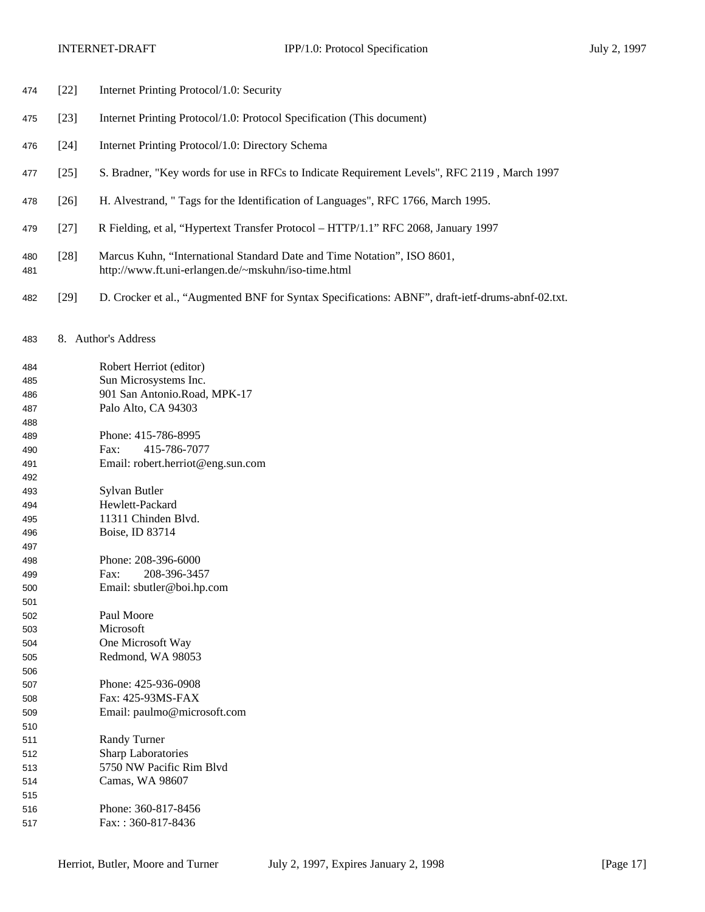- [22] Internet Printing Protocol/1.0: Security
- [23] Internet Printing Protocol/1.0: Protocol Specification (This document)
- [24] Internet Printing Protocol/1.0: Directory Schema
- [25] S. Bradner, "Key words for use in RFCs to Indicate Requirement Levels", RFC 2119 , March 1997
- [26] H. Alvestrand, " Tags for the Identification of Languages", RFC 1766, March 1995.
- [27] R Fielding, et al, "Hypertext Transfer Protocol HTTP/1.1" RFC 2068, January 1997
- [28] Marcus Kuhn, "International Standard Date and Time Notation", ISO 8601, http://www.ft.uni-erlangen.de/~mskuhn/iso-time.html
- [29] D. Crocker et al., "Augmented BNF for Syntax Specifications: ABNF", draft-ietf-drums-abnf-02.txt.
- 8. Author's Address

 Robert Herriot (editor) Sun Microsystems Inc. 901 San Antonio.Road, MPK-17 Palo Alto, CA 94303 Phone: 415-786-8995 Fax: 415-786-7077 Email: robert.herriot@eng.sun.com Sylvan Butler Hewlett-Packard 11311 Chinden Blvd. Boise, ID 83714 Phone: 208-396-6000 Fax: 208-396-3457 Email: sbutler@boi.hp.com Paul Moore Microsoft One Microsoft Way Redmond, WA 98053 Phone: 425-936-0908 Fax: 425-93MS-FAX Email: paulmo@microsoft.com Randy Turner Sharp Laboratories 5750 NW Pacific Rim Blvd Camas, WA 98607 Phone: 360-817-8456 Fax: : 360-817-8436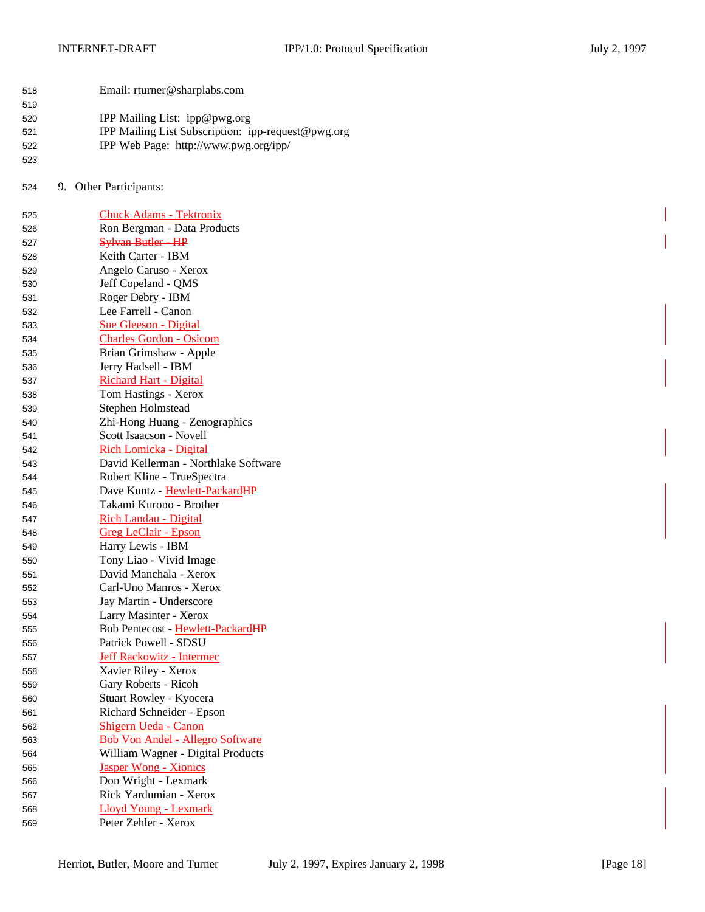| 518 | Email: rturner@sharplabs.com    |
|-----|---------------------------------|
| 519 |                                 |
| 520 | IPP Mailing List: $ipp@pwg.org$ |

| ∪∠ن | If I maning List. Ipp@pwg.org                      |
|-----|----------------------------------------------------|
| 521 | IPP Mailing List Subscription: ipp-request@pwg.org |
| 522 | IPP Web Page: http://www.pwg.org/ipp/              |
| 523 |                                                    |

9. Other Participants:

| 525 | <b>Chuck Adams - Tektronix</b>          |
|-----|-----------------------------------------|
| 526 | Ron Bergman - Data Products             |
| 527 | Sylvan Butler - HP                      |
| 528 | Keith Carter - IBM                      |
| 529 | Angelo Caruso - Xerox                   |
| 530 | Jeff Copeland - QMS                     |
| 531 | Roger Debry - IBM                       |
| 532 | Lee Farrell - Canon                     |
| 533 | <b>Sue Gleeson - Digital</b>            |
| 534 | <b>Charles Gordon - Osicom</b>          |
| 535 | Brian Grimshaw - Apple                  |
| 536 | Jerry Hadsell - IBM                     |
| 537 | <b>Richard Hart - Digital</b>           |
| 538 | Tom Hastings - Xerox                    |
| 539 | Stephen Holmstead                       |
| 540 | Zhi-Hong Huang - Zenographics           |
| 541 | Scott Isaacson - Novell                 |
| 542 | Rich Lomicka - Digital                  |
| 543 | David Kellerman - Northlake Software    |
| 544 | Robert Kline - TrueSpectra              |
| 545 | Dave Kuntz - Hewlett-PackardHP          |
| 546 | Takami Kurono - Brother                 |
| 547 | Rich Landau - Digital                   |
| 548 | Greg LeClair - Epson                    |
| 549 | Harry Lewis - IBM                       |
| 550 | Tony Liao - Vivid Image                 |
| 551 | David Manchala - Xerox                  |
| 552 | Carl-Uno Manros - Xerox                 |
| 553 | Jay Martin - Underscore                 |
| 554 | Larry Masinter - Xerox                  |
| 555 | Bob Pentecost - Hewlett-PackardHP       |
| 556 | Patrick Powell - SDSU                   |
| 557 | <b>Jeff Rackowitz - Intermec</b>        |
| 558 | Xavier Riley - Xerox                    |
| 559 | Gary Roberts - Ricoh                    |
| 560 | Stuart Rowley - Kyocera                 |
| 561 | Richard Schneider - Epson               |
| 562 | Shigern Ueda - Canon                    |
| 563 | <b>Bob Von Andel - Allegro Software</b> |
| 564 | William Wagner - Digital Products       |
| 565 | <b>Jasper Wong - Xionics</b>            |
| 566 | Don Wright - Lexmark                    |
| 567 | Rick Yardumian - Xerox                  |
| 568 | <b>Lloyd Young - Lexmark</b>            |
| 569 | Peter Zehler - Xerox                    |